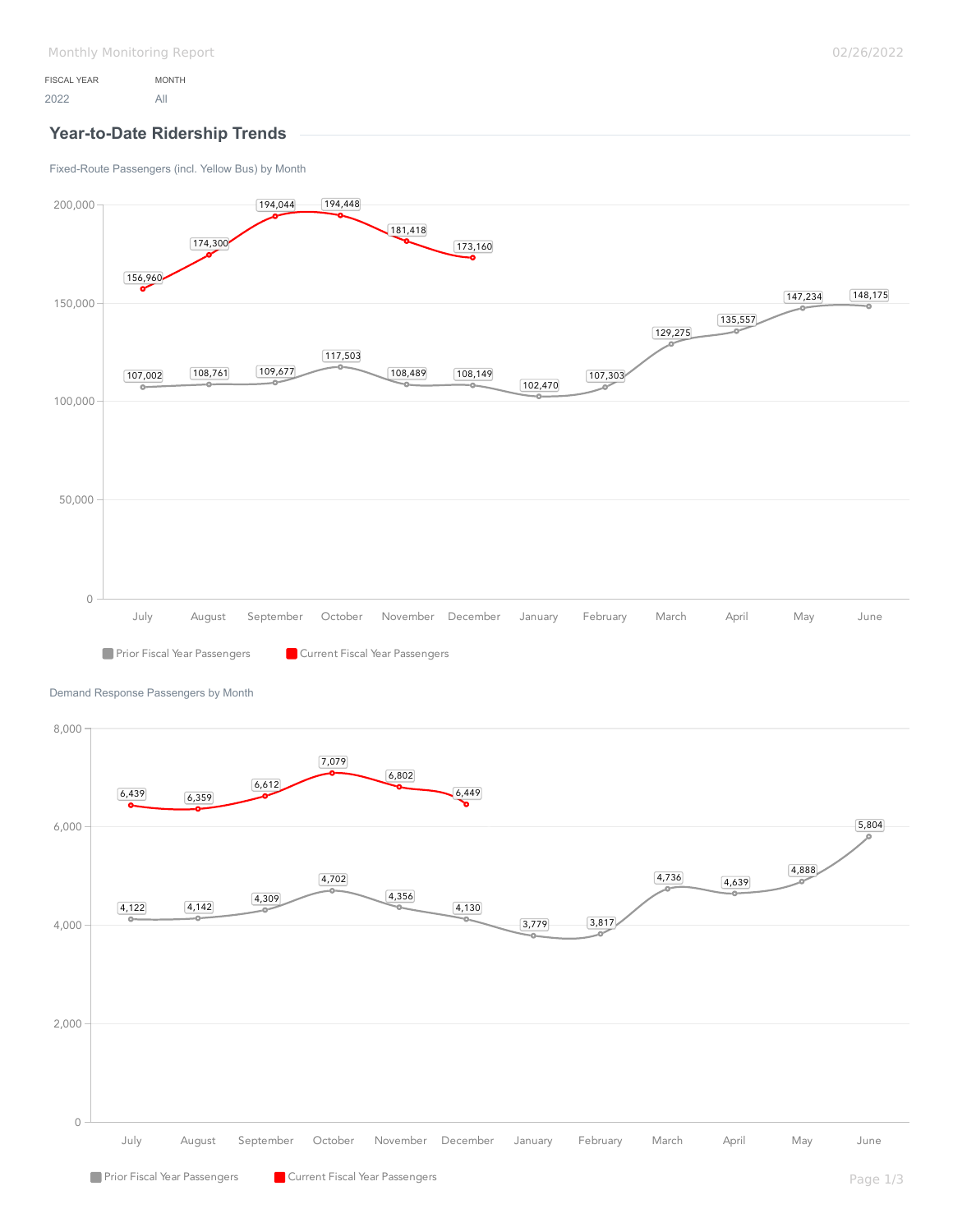## **Year-to-Date Ridership Trends**

[Fixed-Route Passengers \(incl. Yellow Bus\) by Month](https://analytics.transtrack.net/embedded.html#project=%2Fgdc%2Fprojects%2Fph7vkpt6d15wfrwooz9f6wh5y8cu0ylz&dashboard=%2Fgdc%2Fmd%2Fph7vkpt6d15wfrwooz9f6wh5y8cu0ylz%2Fobj%2F50135&tab=a489474901cb&export=1&ctx=%2Fgdc%2Fprojects%2Fph7vkpt6d15wfrwooz9f6wh5y8cu0ylz%2FexecutionContexts%2Ftmp6219e8a54b71ef04c4413fba&request_id=uixae1a5ea732da_209%3AiAWec7li0d4j44xU%3Ajrptcpvjn36gs6a9%3A5&s=/gdc/workspaces/ph7vkpt6d15wfrwooz9f6wh5y8cu0ylz|analysisPage|head|/gdc/md/ph7vkpt6d15wfrwooz9f6wh5y8cu0ylz/obj/50133)



[Demand Response Passengers by Month](https://analytics.transtrack.net/embedded.html#project=%2Fgdc%2Fprojects%2Fph7vkpt6d15wfrwooz9f6wh5y8cu0ylz&dashboard=%2Fgdc%2Fmd%2Fph7vkpt6d15wfrwooz9f6wh5y8cu0ylz%2Fobj%2F50135&tab=a489474901cb&export=1&ctx=%2Fgdc%2Fprojects%2Fph7vkpt6d15wfrwooz9f6wh5y8cu0ylz%2FexecutionContexts%2Ftmp6219e8a54b71ef04c4413fba&request_id=uixae1a5ea732da_209%3AiAWec7li0d4j44xU%3Ajrptcpvjn36gs6a9%3A5&s=/gdc/workspaces/ph7vkpt6d15wfrwooz9f6wh5y8cu0ylz|analysisPage|head|/gdc/md/ph7vkpt6d15wfrwooz9f6wh5y8cu0ylz/obj/64518)